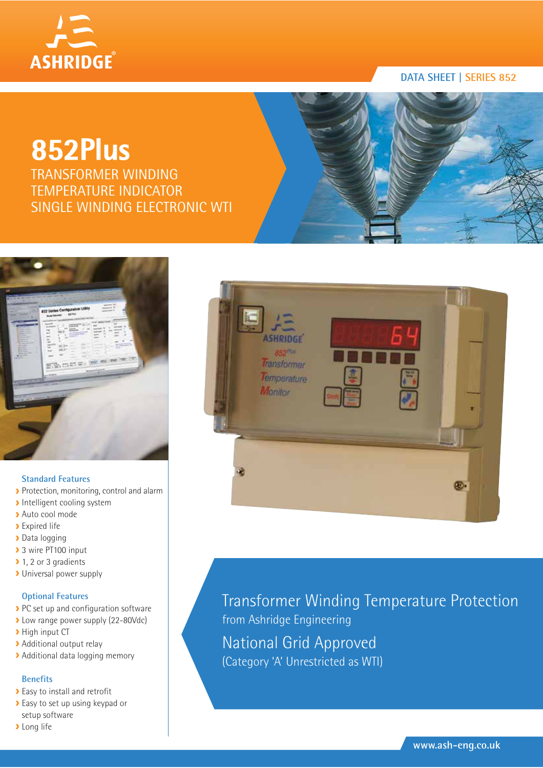

#### **DATA SHEET | SERIES 852**

# **852Plus**

TRANSFORMER WINDING TEMPERATURE INDICATOR SINGLE WINDING ELECTRONIC WTI



#### **Standard Features**

- Protection, monitoring, control and alarm
- Intelligent cooling system
- Auto cool mode
- **>** Expired life
- Data logging
- ▶ 3 wire PT100 input
- ▶ 1, 2 or 3 gradients
- Universal power supply

#### **Optional Features**

- PC set up and configuration software
- **>** Low range power supply (22-80Vdc)
- > High input CT
- Additional output relay
- > Additional data logging memory

#### **Benefits**

- Easy to install and retrofit
- **Easy to set up using keypad or** setup software
- **Long** life



Transformer Winding Temperature Protection from Ashridge Engineering National Grid Approved (Category 'A' Unrestricted as WTI)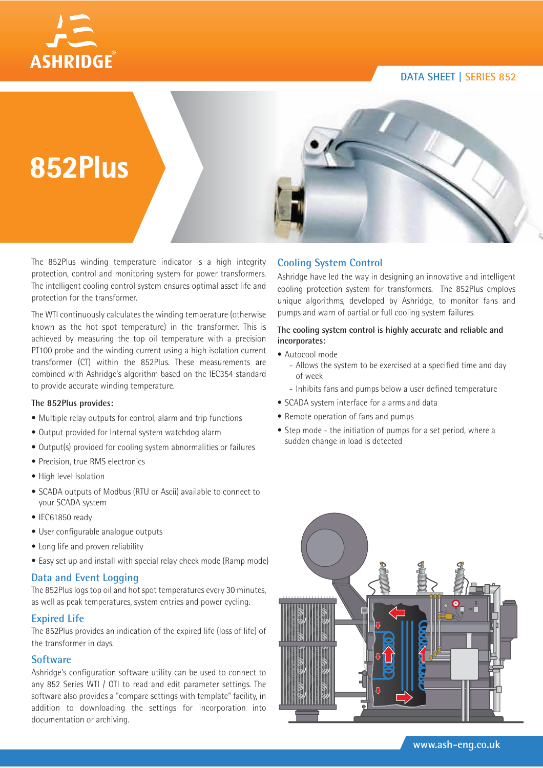**DATA SHEET | SERIES 852**





The 852Plus winding temperature indicator is a high integrity protection, control and monitoring system for power transformers. The intelligent cooling control system ensures optimal asset life and protection for the transformer.

The WTI continuously calculates the winding temperature (otherwise known as the hot spot temperature) in the transformer. This is achieved by measuring the top oil temperature with a precision PT100 probe and the winding current using a high isolation current transformer (CT) within the 852Plus. These measurements are combined with Ashridge's algorithm based on the IEC354 standard to provide accurate winding temperature.

#### **The 852Plus provides:**

- Multiple relay outputs for control, alarm and trip functions
- Output provided for Internal system watchdog alarm
- Output(s) provided for cooling system abnormalities or failures
- Precision, true RMS electronics
- High level Isolation
- SCADA outputs of Modbus (RTU or Ascii) available to connect to your SCADA system
- IEC61850 ready
- User configurable analogue outputs
- Long life and proven reliability
- Easy set up and install with special relay check mode (Ramp mode)

#### **Data and Event Logging**

The 852Plus logs top oil and hot spot temperatures every 30 minutes, as well as peak temperatures, system entries and power cycling.

#### **Expired Life**

The 852Plus provides an indication of the expired life (loss of life) of the transformer in days.

#### **Software**

Ashridge's configuration software utility can be used to connect to any 852 Series WTI / OTI to read and edit parameter settings. The software also provides a "compare settings with template" facility, in addition to downloading the settings for incorporation into documentation or archiving.

#### **Cooling System Control**

Ashridge have led the way in designing an innovative and intelligent cooling protection system for transformers. The 852Plus employs unique algorithms, developed by Ashridge, to monitor fans and pumps and warn of partial or full cooling system failures.

#### **The cooling system control is highly accurate and reliable and incorporates:**

- Autocool mode
	- Allows the system to be exercised at a specified time and day of week
	- Inhibits fans and pumps below a user defined temperature
- SCADA system interface for alarms and data
- Remote operation of fans and pumps
- Step mode the initiation of pumps for a set period, where a sudden change in load is detected

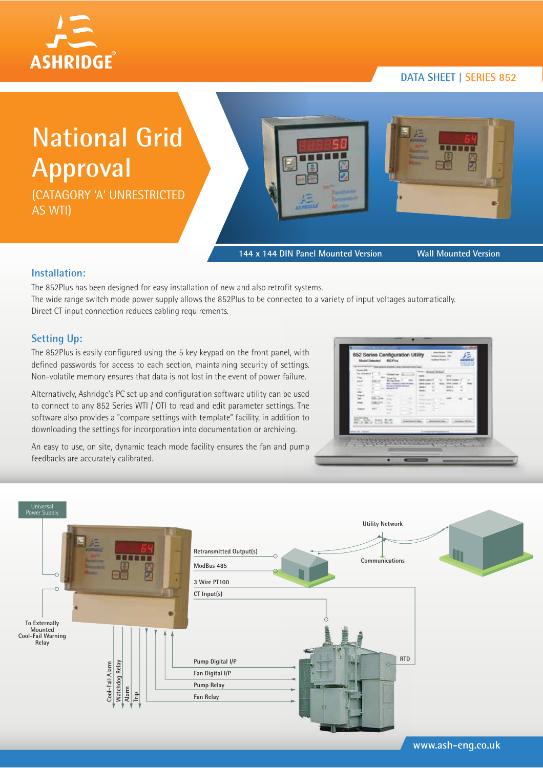# **ASHRIDGE®**

#### **DATA SHEET | SERIES 852**

**National Grid Approval**

(CATAGORY 'A' UNRESTRICTED AS WTI)





**144 x 144 DIN Panel Mounted Version Wall Mounted Version**

#### **Installation:**

The 852Plus has been designed for easy installation of new and also retrofit systems. The wide range switch mode power supply allows the 852Plus to be connected to a variety of input voltages automatically. Direct CT input connection reduces cabling requirements.

#### **Setting Up:**

The 852Plus is easily configured using the 5 key keypad on the front panel, with defined passwords for access to each section, maintaining security of settings. Non-volatile memory ensures that data is not lost in the event of power failure.

Alternatively, Ashridge's PC set up and configuration software utility can be used to connect to any 852 Series WTI / OTI to read and edit parameter settings. The software also provides a "compare settings with template" facility, in addition to downloading the settings for incorporation into documentation or archiving.

An easy to use, on site, dynamic teach mode facility ensures the fan and pump feedbacks are accurately calibrated.

| les of their<br><b>Expiració date</b><br>h.<br><b>Friday Fax</b><br><b>Monda Polic</b><br>(4)<br>tele l'assete/code l'or plus<br>has an exterior address .<br>- - -<br>$-1$ | Ford Cheese Service<br>sear -<br>With linear or<br>$-$<br><b>DEAT LAND</b><br>40.47<br><b>START OF</b><br>1.44<br><b>Control</b><br>$-1$<br><b>Britt Carmell W</b><br><b>START</b><br><br>$-100$<br><b>STATE</b> |
|-----------------------------------------------------------------------------------------------------------------------------------------------------------------------------|------------------------------------------------------------------------------------------------------------------------------------------------------------------------------------------------------------------|
| <b><i><u>SECOND TIMES</u></i></b>                                                                                                                                           | Microsoft & policy Policy - (Princeted Coffic convenient) - (2)                                                                                                                                                  |
| <b>BOOK COLLEGE</b>                                                                                                                                                         |                                                                                                                                                                                                                  |
| almost kinesi                                                                                                                                                               | - A complete processing to the A.C.                                                                                                                                                                              |



**www.ash-eng.co.uk**